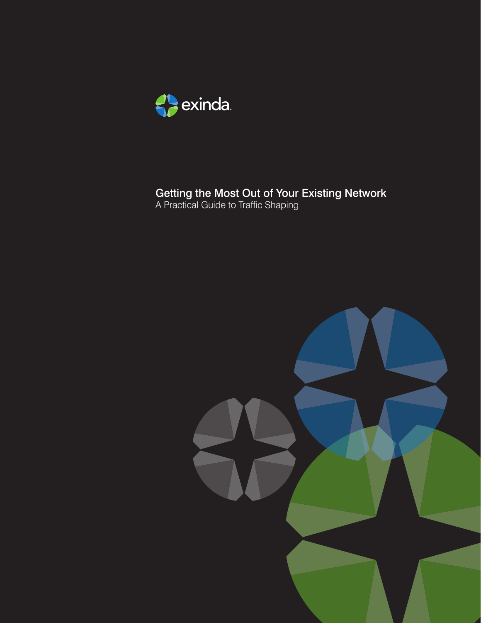

# Getting the Most Out of Your Existing Network

A Practical Guide to Traffic Shaping

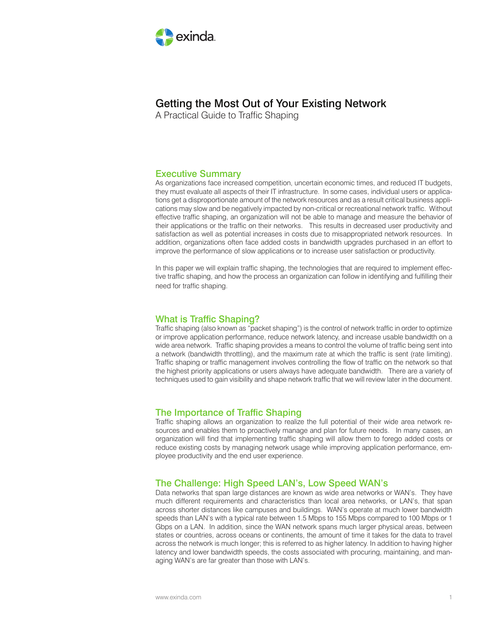

# Getting the Most Out of Your Existing Network

A Practical Guide to Traffic Shaping

# Executive Summary

As organizations face increased competition, uncertain economic times, and reduced IT budgets, they must evaluate all aspects of their IT infrastructure. In some cases, individual users or applications get a disproportionate amount of the network resources and as a result critical business applications may slow and be negatively impacted by non-critical or recreational network traffic. Without effective traffic shaping, an organization will not be able to manage and measure the behavior of their applications or the traffic on their networks. This results in decreased user productivity and satisfaction as well as potential increases in costs due to misappropriated network resources. In addition, organizations often face added costs in bandwidth upgrades purchased in an effort to improve the performance of slow applications or to increase user satisfaction or productivity.

In this paper we will explain traffic shaping, the technologies that are required to implement effective traffic shaping, and how the process an organization can follow in identifying and fulfilling their need for traffic shaping.

# What is Traffic Shaping?

Traffic shaping (also known as "packet shaping") is the control of network traffic in order to optimize or improve application performance, reduce network latency, and increase usable bandwidth on a wide area network. Traffic shaping provides a means to control the volume of traffic being sent into a network (bandwidth throttling), and the maximum rate at which the traffic is sent (rate limiting). Traffic shaping or traffic management involves controlling the flow of traffic on the network so that the highest priority applications or users always have adequate bandwidth. There are a variety of techniques used to gain visibility and shape network traffic that we will review later in the document.

# The Importance of Traffic Shaping

Traffic shaping allows an organization to realize the full potential of their wide area network resources and enables them to proactively manage and plan for future needs. In many cases, an organization will find that implementing traffic shaping will allow them to forego added costs or reduce existing costs by managing network usage while improving application performance, employee productivity and the end user experience.

# The Challenge: High Speed LAN's, Low Speed WAN's

Data networks that span large distances are known as wide area networks or WAN's. They have much different requirements and characteristics than local area networks, or LAN's, that span across shorter distances like campuses and buildings. WAN's operate at much lower bandwidth speeds than LAN's with a typical rate between 1.5 Mbps to 155 Mbps compared to 100 Mbps or 1 Gbps on a LAN. In addition, since the WAN network spans much larger physical areas, between states or countries, across oceans or continents, the amount of time it takes for the data to travel across the network is much longer; this is referred to as higher latency. In addition to having higher latency and lower bandwidth speeds, the costs associated with procuring, maintaining, and managing WAN's are far greater than those with LAN's.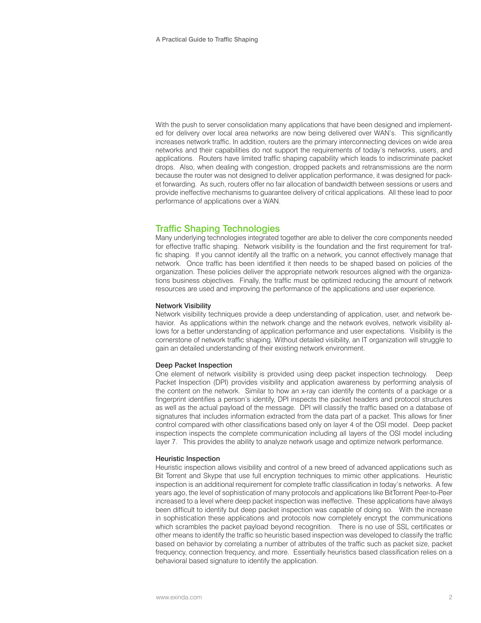With the push to server consolidation many applications that have been designed and implemented for delivery over local area networks are now being delivered over WAN's. This significantly increases network traffic. In addition, routers are the primary interconnecting devices on wide area networks and their capabilities do not support the requirements of today's networks, users, and applications. Routers have limited traffic shaping capability which leads to indiscriminate packet drops. Also, when dealing with congestion, dropped packets and retransmissions are the norm because the router was not designed to deliver application performance, it was designed for packet forwarding. As such, routers offer no fair allocation of bandwidth between sessions or users and provide ineffective mechanisms to guarantee delivery of critical applications. All these lead to poor performance of applications over a WAN.

# Traffic Shaping Technologies

Many underlying technologies integrated together are able to deliver the core components needed for effective traffic shaping. Network visibility is the foundation and the first requirement for traffic shaping. If you cannot identify all the traffic on a network, you cannot effectively manage that network. Once traffic has been identified it then needs to be shaped based on policies of the organization. These policies deliver the appropriate network resources aligned with the organizations business objectives. Finally, the traffic must be optimized reducing the amount of network resources are used and improving the performance of the applications and user experience.

### Network Visibility

Network visibility techniques provide a deep understanding of application, user, and network behavior. As applications within the network change and the network evolves, network visibility allows for a better understanding of application performance and user expectations. Visibility is the cornerstone of network traffic shaping. Without detailed visibility, an IT organization will struggle to gain an detailed understanding of their existing network environment.

### Deep Packet Inspection

One element of network visibility is provided using deep packet inspection technology. Deep Packet Inspection (DPI) provides visibility and application awareness by performing analysis of the content on the network. Similar to how an x-ray can identify the contents of a package or a fingerprint identifies a person's identify, DPI inspects the packet headers and protocol structures as well as the actual payload of the message. DPI will classify the traffic based on a database of signatures that includes information extracted from the data part of a packet. This allows for finer control compared with other classifications based only on layer 4 of the OSI model. Deep packet inspection inspects the complete communication including all layers of the OSI model including layer 7. This provides the ability to analyze network usage and optimize network performance.

#### Heuristic Inspection

Heuristic inspection allows visibility and control of a new breed of advanced applications such as Bit Torrent and Skype that use full encryption techniques to mimic other applications. Heuristic inspection is an additional requirement for complete traffic classification in today's networks. A few years ago, the level of sophistication of many protocols and applications like BitTorrent Peer-to-Peer increased to a level where deep packet inspection was ineffective. These applications have always been difficult to identify but deep packet inspection was capable of doing so. With the increase in sophistication these applications and protocols now completely encrypt the communications which scrambles the packet payload beyond recognition. There is no use of SSL certificates or other means to identify the traffic so heuristic based inspection was developed to classify the traffic based on behavior by correlating a number of attributes of the traffic such as packet size, packet frequency, connection frequency, and more. Essentially heuristics based classification relies on a behavioral based signature to identify the application.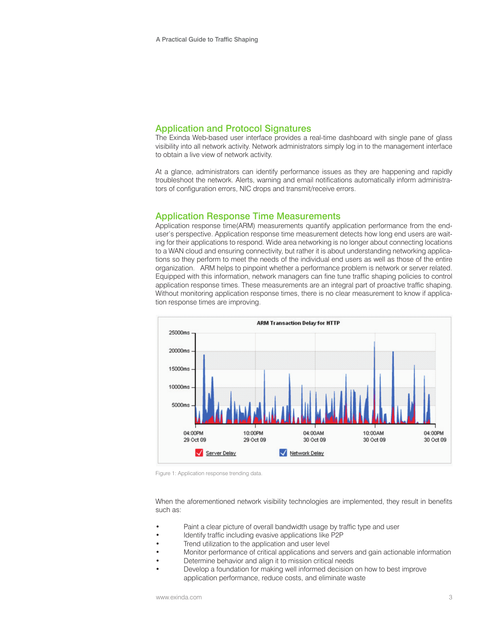## Application and Protocol Signatures

The Exinda Web-based user interface provides a real-time dashboard with single pane of glass visibility into all network activity. Network administrators simply log in to the management interface to obtain a live view of network activity.

At a glance, administrators can identify performance issues as they are happening and rapidly troubleshoot the network. Alerts, warning and email notifications automatically inform administrators of configuration errors, NIC drops and transmit/receive errors.

## Application Response Time Measurements

Application response time(ARM) measurements quantify application performance from the enduser's perspective. Application response time measurement detects how long end users are waiting for their applications to respond. Wide area networking is no longer about connecting locations to a WAN cloud and ensuring connectivity, but rather it is about understanding networking applications so they perform to meet the needs of the individual end users as well as those of the entire organization. ARM helps to pinpoint whether a performance problem is network or server related. Equipped with this information, network managers can fine tune traffic shaping policies to control application response times. These measurements are an integral part of proactive traffic shaping. Without monitoring application response times, there is no clear measurement to know if application response times are improving.



Figure 1: Application response trending data.

When the aforementioned network visibility technologies are implemented, they result in benefits such as:

- Paint a clear picture of overall bandwidth usage by traffic type and user
- Identify traffic including evasive applications like P2P
- Trend utilization to the application and user level
- Monitor performance of critical applications and servers and gain actionable information
- Determine behavior and align it to mission critical needs
- Develop a foundation for making well informed decision on how to best improve application performance, reduce costs, and eliminate waste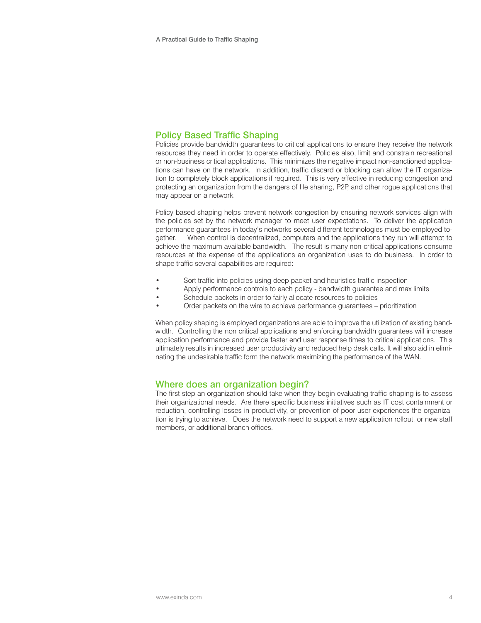# Policy Based Traffic Shaping

Policies provide bandwidth guarantees to critical applications to ensure they receive the network resources they need in order to operate effectively. Policies also, limit and constrain recreational or non-business critical applications. This minimizes the negative impact non-sanctioned applications can have on the network. In addition, traffic discard or blocking can allow the IT organization to completely block applications if required. This is very effective in reducing congestion and protecting an organization from the dangers of file sharing, P2P, and other rogue applications that may appear on a network.

Policy based shaping helps prevent network congestion by ensuring network services align with the policies set by the network manager to meet user expectations. To deliver the application performance guarantees in today's networks several different technologies must be employed together. When control is decentralized, computers and the applications they run will attempt to achieve the maximum available bandwidth. The result is many non-critical applications consume resources at the expense of the applications an organization uses to do business. In order to shape traffic several capabilities are required:

- Sort traffic into policies using deep packet and heuristics traffic inspection
- Apply performance controls to each policy bandwidth guarantee and max limits
- Schedule packets in order to fairly allocate resources to policies
- Order packets on the wire to achieve performance guarantees prioritization

When policy shaping is employed organizations are able to improve the utilization of existing bandwidth. Controlling the non critical applications and enforcing bandwidth guarantees will increase application performance and provide faster end user response times to critical applications. This ultimately results in increased user productivity and reduced help desk calls. It will also aid in eliminating the undesirable traffic form the network maximizing the performance of the WAN.

## Where does an organization begin?

The first step an organization should take when they begin evaluating traffic shaping is to assess their organizational needs. Are there specific business initiatives such as IT cost containment or reduction, controlling losses in productivity, or prevention of poor user experiences the organization is trying to achieve. Does the network need to support a new application rollout, or new staff members, or additional branch offices.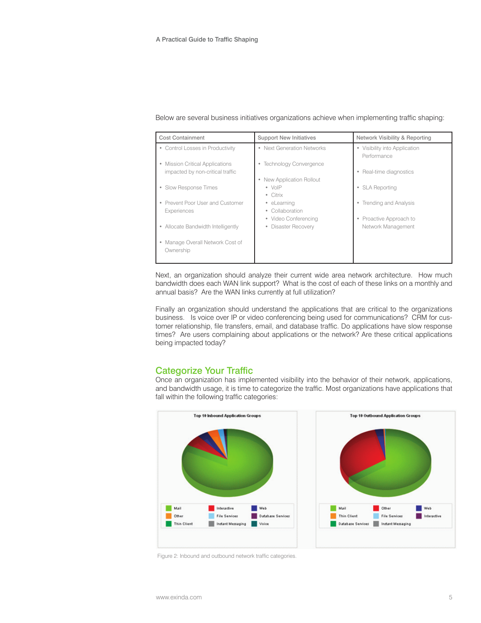| <b>Cost Containment</b>                     | <b>Support New Initiatives</b> | Network Visibility & Reporting               |
|---------------------------------------------|--------------------------------|----------------------------------------------|
| • Control Losses in Productivity            | • Next Generation Networks     | • Visibility into Application<br>Performance |
| Mission Critical Applications               | • Technology Convergence       |                                              |
| impacted by non-critical traffic            |                                | • Real-time diagnostics                      |
|                                             | New Application Rollout<br>۰   |                                              |
| Slow Response Times                         | $\bullet$ VoIP                 | • SLA Reporting                              |
|                                             | • Citrix                       |                                              |
| Prevent Poor User and Customer              | • eLearning                    | • Trending and Analysis                      |
| Experiences                                 | Collaboration                  |                                              |
|                                             | • Video Conferencing           | • Proactive Approach to                      |
| Allocate Bandwidth Intelligently            | Disaster Recovery<br>$\bullet$ | Network Management                           |
| Manage Overall Network Cost of<br>Ownership |                                |                                              |

#### Below are several business initiatives organizations achieve when implementing traffic shaping:

Next, an organization should analyze their current wide area network architecture. How much bandwidth does each WAN link support? What is the cost of each of these links on a monthly and annual basis? Are the WAN links currently at full utilization?

Finally an organization should understand the applications that are critical to the organizations business. Is voice over IP or video conferencing being used for communications? CRM for customer relationship, file transfers, email, and database traffic. Do applications have slow response times? Are users complaining about applications or the network? Are these critical applications being impacted today?

# Categorize Your Traffic

Once an organization has implemented visibility into the behavior of their network, applications, and bandwidth usage, it is time to categorize the traffic. Most organizations have applications that fall within the following traffic categories:



Figure 2: Inbound and outbound network traffic categories.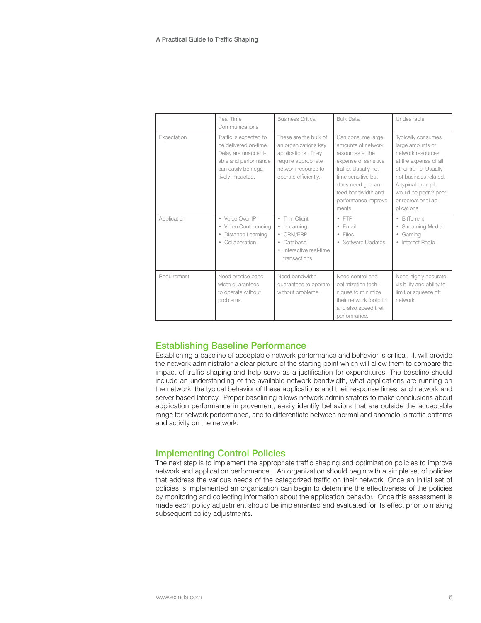|             | Real Time<br>Communications                                                                                                               | <b>Business Critical</b>                                                                                                                  | <b>Bulk Data</b>                                                                                                                                                                                               | Undesirable                                                                                                                                                                                                                |
|-------------|-------------------------------------------------------------------------------------------------------------------------------------------|-------------------------------------------------------------------------------------------------------------------------------------------|----------------------------------------------------------------------------------------------------------------------------------------------------------------------------------------------------------------|----------------------------------------------------------------------------------------------------------------------------------------------------------------------------------------------------------------------------|
| Expectation | Traffic is expected to<br>be delivered on-time.<br>Delay are unaccept-<br>able and performance<br>can easily be nega-<br>tively impacted. | These are the bulk of<br>an organizations key<br>applications. They<br>require appropriate<br>network resource to<br>operate efficiently. | Can consume large<br>amounts of network<br>resources at the<br>expense of sensitive<br>traffic. Usually not<br>time sensitive but<br>does need guaran-<br>teed bandwidth and<br>performance improve-<br>ments. | Typically consumes<br>large amounts of<br>network resources<br>at the expense of all<br>other traffic. Usually<br>not business related.<br>A typical example<br>would be peer 2 peer<br>or recreational ap-<br>plications. |
| Application | • Voice Over IP<br>• Video Conferencina<br>Distance Learning<br>$\bullet$<br>Collaboration<br>۰                                           | Thin Client<br>۰<br>eLearning<br>۰<br>CRM/ERP<br>۰<br><b>Database</b><br>$\bullet$<br>Interactive real-time<br>٠<br>transactions          | $\bullet$ FTP<br>• Email<br>$\bullet$ Files<br>• Software Updates                                                                                                                                              | • BitTorrent<br>• Streaming Media<br>• Gaming<br>· Internet Radio                                                                                                                                                          |
| Requirement | Need precise band-<br>width quarantees<br>to operate without<br>problems.                                                                 | Need bandwidth<br>guarantees to operate<br>without problems.                                                                              | Need control and<br>optimization tech-<br>niques to minimize<br>their network footprint<br>and also speed their<br>performance.                                                                                | Need highly accurate<br>visibility and ability to<br>limit or squeeze off<br>network                                                                                                                                       |

# Establishing Baseline Performance

Establishing a baseline of acceptable network performance and behavior is critical. It will provide the network administrator a clear picture of the starting point which will allow them to compare the impact of traffic shaping and help serve as a justification for expenditures. The baseline should include an understanding of the available network bandwidth, what applications are running on the network, the typical behavior of these applications and their response times, and network and server based latency. Proper baselining allows network administrators to make conclusions about application performance improvement, easily identify behaviors that are outside the acceptable range for network performance, and to differentiate between normal and anomalous traffic patterns and activity on the network.

# Implementing Control Policies

The next step is to implement the appropriate traffic shaping and optimization policies to improve network and application performance. An organization should begin with a simple set of policies that address the various needs of the categorized traffic on their network. Once an initial set of policies is implemented an organization can begin to determine the effectiveness of the policies by monitoring and collecting information about the application behavior. Once this assessment is made each policy adjustment should be implemented and evaluated for its effect prior to making subsequent policy adjustments.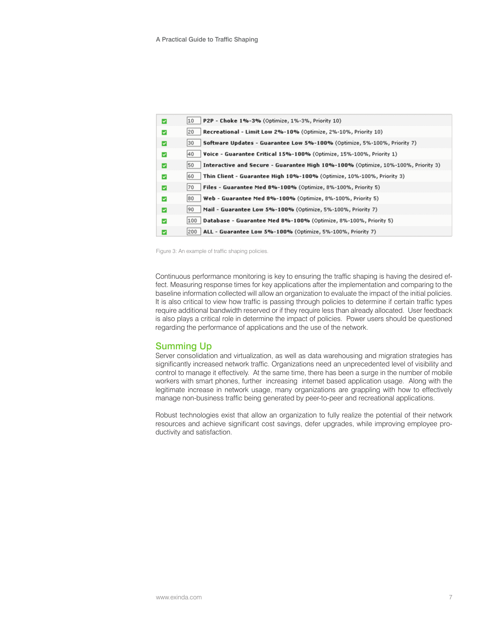| M                        | P2P - Choke 1%-3% (Optimize, 1%-3%, Priority 10)<br>10                                  |
|--------------------------|-----------------------------------------------------------------------------------------|
| $\overline{\phantom{a}}$ | Recreational - Limit Low 2%-10% (Optimize, 2%-10%, Priority 10)<br>20                   |
| M                        | 30<br>Software Updates - Guarantee Low 5%-100% (Optimize, 5%-100%, Priority 7)          |
| $\blacktriangleright$    | Voice - Guarantee Critical 15%-100% (Optimize, 15%-100%, Priority 1)<br>40              |
| M                        | Interactive and Secure - Guarantee High 10%-100% (Optimize, 10%-100%, Priority 3)<br>50 |
| ☑                        | Thin Client - Guarantee High 10%-100% (Optimize, 10%-100%, Priority 3)<br>60            |
| M                        | Files - Guarantee Med 8%-100% (Optimize, 8%-100%, Priority 5)<br>70                     |
| ☑                        | Web - Guarantee Med 8%-100% (Optimize, 8%-100%, Priority 5)<br>80                       |
| M                        | Mail - Guarantee Low 5%-100% (Optimize, 5%-100%, Priority 7)<br>90                      |
| $\blacktriangleright$    | 100   Database - Guarantee Med 8%-100% (Optimize, 8%-100%, Priority 5)                  |
| ⊽                        | ALL - Guarantee Low 5%-100% (Optimize, 5%-100%, Priority 7)<br> 200                     |

Figure 3: An example of traffic shaping policies.

Continuous performance monitoring is key to ensuring the traffic shaping is having the desired effect. Measuring response times for key applications after the implementation and comparing to the baseline information collected will allow an organization to evaluate the impact of the initial policies. It is also critical to view how traffic is passing through policies to determine if certain traffic types require additional bandwidth reserved or if they require less than already allocated. User feedback is also plays a critical role in determine the impact of policies. Power users should be questioned regarding the performance of applications and the use of the network.

# Summing Up

Server consolidation and virtualization, as well as data warehousing and migration strategies has significantly increased network traffic. Organizations need an unprecedented level of visibility and control to manage it effectively. At the same time, there has been a surge in the number of mobile workers with smart phones, further increasing internet based application usage. Along with the legitimate increase in network usage, many organizations are grappling with how to effectively manage non-business traffic being generated by peer-to-peer and recreational applications.

Robust technologies exist that allow an organization to fully realize the potential of their network resources and achieve significant cost savings, defer upgrades, while improving employee productivity and satisfaction.